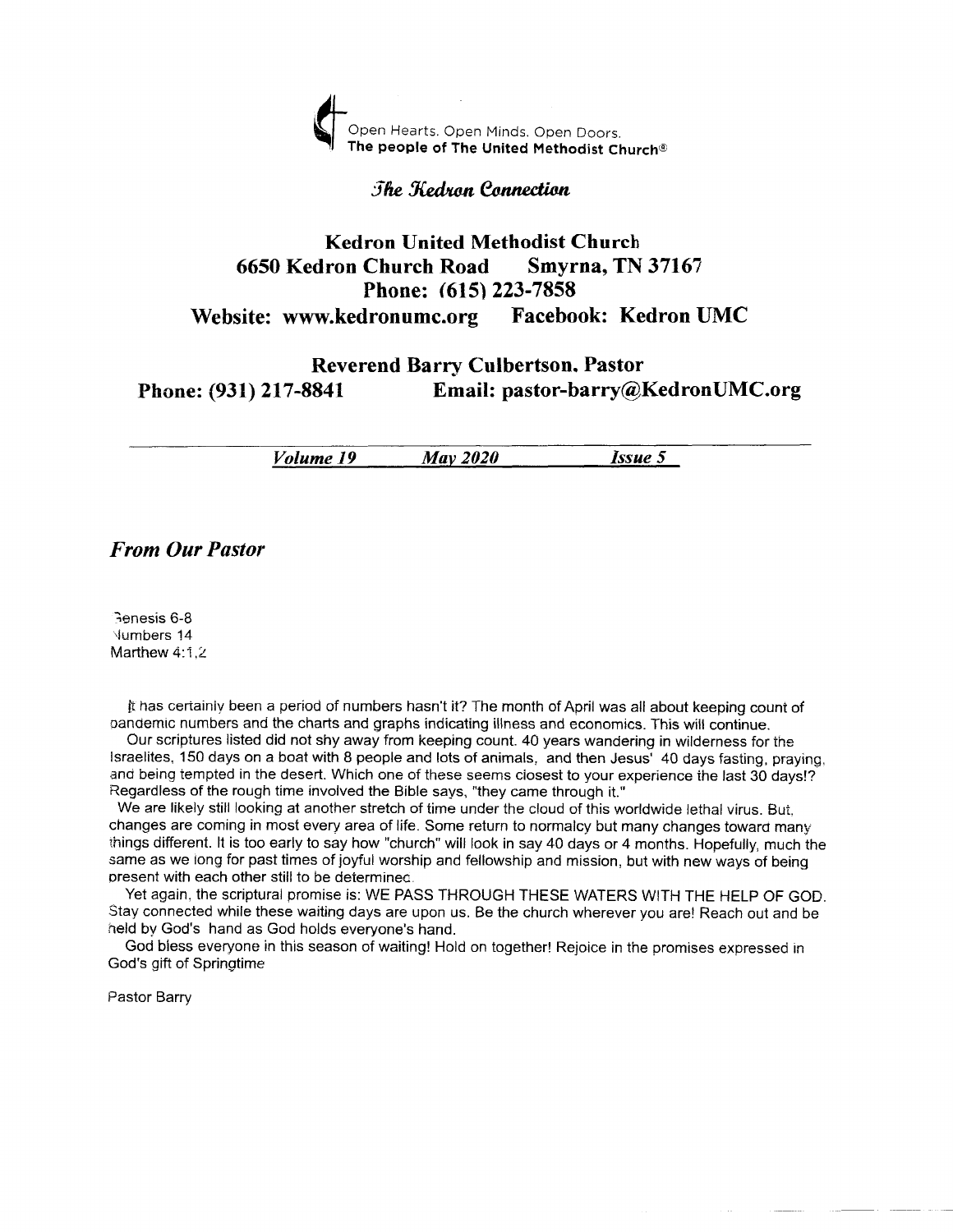

## *Fhe Kedron Connection*

## Kedron United Methodist Church <sup>6650</sup>Kedron Church Road Smyrna, TN <sup>37167</sup> Phone: (615) 223-7858 Website: www.kedronumc.org Facebook: Kedron UMC

## Reverend Barry Culbertson, Pastor Phone: (931) 217-8841 Email: pastor-barry@KedronUMC.org

Volume 19 Mav <sup>2020</sup> Issue 5

#### From Our Pastor

ienesis 6-8 .lumbers 14 Marthew 4:1,2

fi iras ceriainiv been a period of numbers hasn't it? The month of April was all about keeping count of oanoemic numbers and the charts and graphs indicating illness and economics. This will continue.

Our scriptures listed did not shy away from keeping count. 40 years wandering in wilderness for ihe lsraelites, 150 days on a boat with 8 people and lots of animals, and then Jesus' 40 days fasiing. praying, and being tempted in the desert. Which one of these seems closest to your experience the last 30 days!? Regardless of the rough time invoived the Bible says, "they came through it."

We are likely still looking at another stretch of time under the cloud of this worldwide lethal virus. But, changes are coming in most every area of life. Some return to normalcy but many changes toward many things different. It is too early to say how "church" will look in say 40 days or 4 months. Hopefully, much the same as we iong for past times of joyful worship and fellowship and mission, but with new ways of being oresent with each other still to be deierminec.

Yet again, the scriptural promise is: WE PASS THROUGH THESE WATERS WITH THE HELP OF GOD. Stay connected while these waiting days are upon us. Be the church wherever you are! Reach out and be neld bv God's hand as God holds everyone's hand.

God biess everyone in this season of waiting! Hold on together! Rejoice in the promises expressed in God's gift of Springtime

Pastor Barry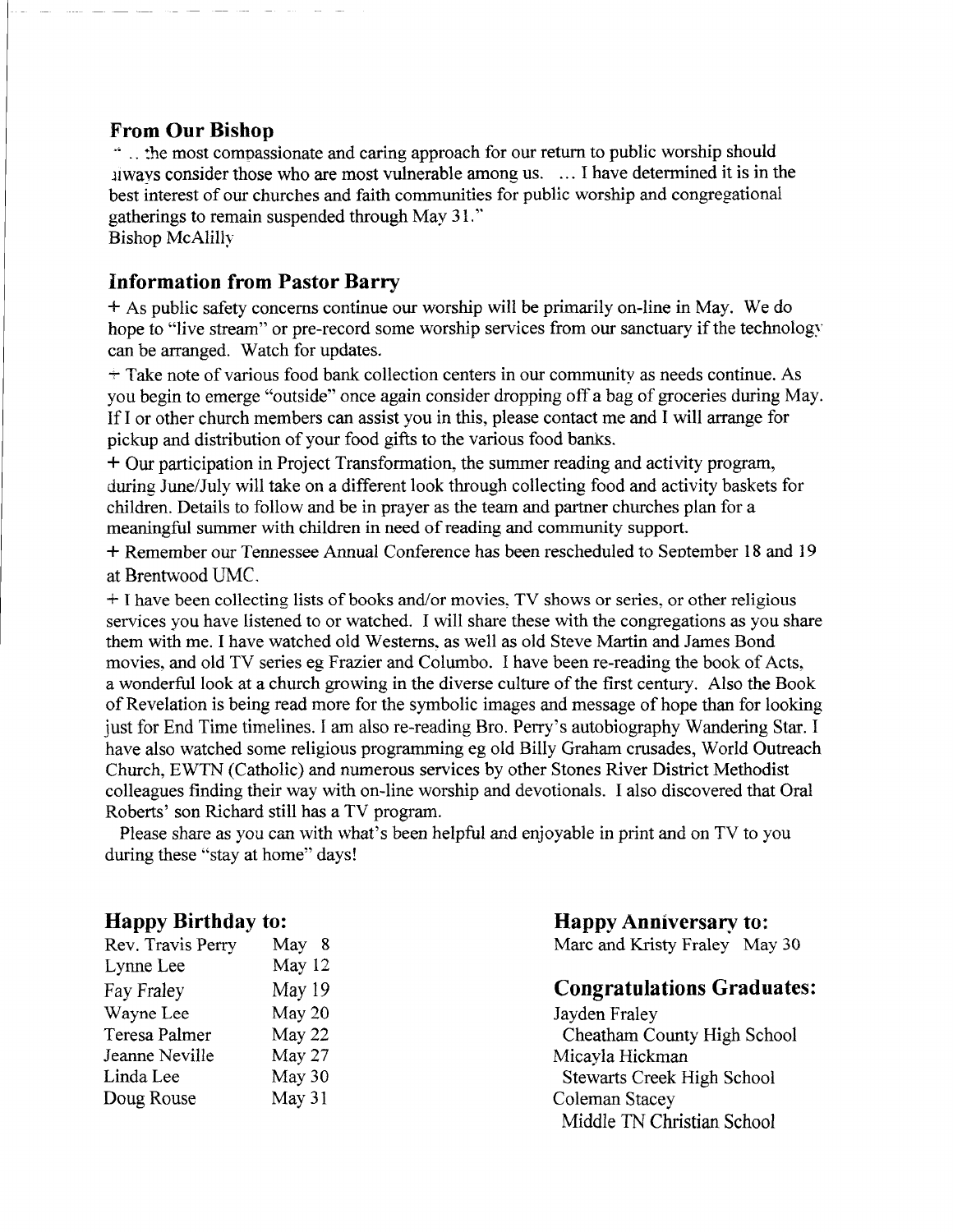### From Our Bishop

<sup>1</sup>. the most compassionate and caring approach for our return to public worship should ilways consider those who are most vulnerable among us. ... I have determined it is in the best interest of our churches and faith communities for public worship and congregational gatherings to remain suspended through May 31." Bishop McAlillv

## Information from Pastor Barry

\* As public safety concerns continue our worship will be primarily on-line in May. We do hope to "live stream" or pre-record some worship services from our sanctuary if the technology can be arranged. Watch for updates.

 $+$  Take note of various food bank collection centers in our community as needs continue. As you begin to emerge "outside" once again consider dropping off a bag of groceries during May. If I or other church members can assist you in this, please contact me and I will arrange for pickup and distribution of your food gifts to the various food banrs.

<sup>+</sup> Our participation in Project Transformation, the summer reading and activity program, during June/July will take on a different look through collecting food and activity baskets for children. Details to follow and be in prayer as the team and partner churches plan for a meaningful summer with children in need of reading and community support.

<sup>+</sup> Remember our Tennessee Annual Conference has been rescheduled to September 18 and 19 at Brentwood UMC.

\* <sup>I</sup>have been collecting lists of books and/or movies. TV shows or series. or other religious services you have listened to or watched. I will share these with the congregations as you share them with me. I have watched old Westerns. as well as old Steve Martin and James Bond movies. and old TV series eg Frazier and Columbo. I have been re-reading the book of Acts. a wonderful look at a church growing in the diverse culture of the first century. Also the Book of Revelation is being read more for the symbolic images and message of hope than for looking just for End Time timelines. I am also re-reading Bro. Perry's autobiography Wandering Star. I have also watched some religious programming eg old Billy Graham crusades, World Outreach Church, EWTN (Catholic) and numerous services by other Stones River District Methodist colleagues finding their way with on-line worship and devotionals. I also discovered that Oral Roberts' son Richard still has a TV program.

Please share as you can with what's been helpful and enjoyable in print and on TV to you during these "stay at home" days!

#### Happy Birthday to:

| Rev. Travis Perry | May 8  |
|-------------------|--------|
| Lynne Lee         | May 12 |
| Fay Fraley        | May 19 |
| Wayne Lee         | May 20 |
| Teresa Palmer     | May 22 |
| Jeanne Neville    | May 27 |
| Linda Lee         | May 30 |
| Doug Rouse        | May 31 |
|                   |        |

#### Happy Anniversary to: Marc and Kristy Fraley May 30

## Congratulations Graduates :

Jayden Fraley Cheatham County High School Micayla Hickman Stewarts Creek High School Coleman Stacey Middle TN Christian School